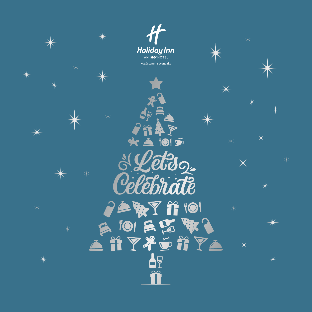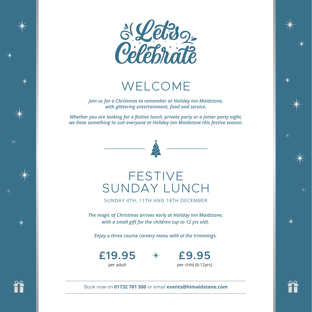

WELCOME

*Join us for a Christmas to remember at Holiday Inn Maidstone, with glittering entertainment, food and service.*

*Whether you are looking for a festive lunch, private party or a joiner party night, we have something to suit everyone at Holiday Inn Maidstone this festive season.*



### FESTIVE SUNDAY LUNCH

SUNDAY 4TH, 11TH AND 18TH DECEMBER

*The magic of Christmas arrives early at Holiday Inn Maidstone, with a small gift for the children (up to 12 yrs old).*

*Enjoy a three course carvery menu with al the trimmings.* 

**£19.95** per adult

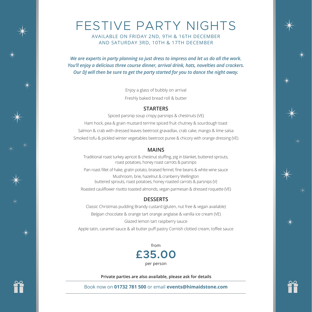

# FESTIVE PARTY NIGHTS

AVAILABLE ON FRIDAY 2ND, 9TH & 16TH DECEMBER AND SATURDAY 3RD, 10TH & 17TH DECEMBER

*We are experts in party planning so just dress to impress and let us do all the work. You'll enjoy a delicious three course dinner, arrival drink, hats, novelties and crackers. Our DJ will then be sure to get the party started for you to dance the night away.*

> Enjoy a glass of bubbly on arrival Freshly baked bread roll & butter

#### **STARTERS**

Spiced parsnip soup crispy parsnips & chestnuts (VE) Ham hock, pea & grain mustard terrine spiced fruit chutney & sourdough toast Salmon & crab with dressed leaves beetroot gravadlax, crab cake, mango & lime salsa Smoked tofu & pickled winter vegetables beetroot puree & chicory with orange dressing (VE)

#### **MAINS**

Traditional roast turkey apricot & chestnut stuffing, pig in blanket, buttered sprouts, roast potatoes, honey roast carrots & parsnips

Pan roast fillet of hake, gratin potato, braised fennel, fine beans & white wine sauce Mushroom, brie, hazelnut & cranberry Wellington buttered sprouts, roast potatoes, honey roasted carrots & parsnips (V)

Roasted cauliflower risotto toasted almonds, vegan parmesan & dressed roquette (VE)

### **DESSERTS**

Classic Christmas pudding Brandy custard (gluten, nut free & vegan available) Belgian chocolate & orange tart orange anglaise & vanilla ice cream (VE) Glazed lemon tart raspberry sauce Apple tatin, caramel sauce & all butter puff pastry Cornish clotted cream, toffee sauce

> **£35.00** per person from

**Private parties are also available, please ask for details**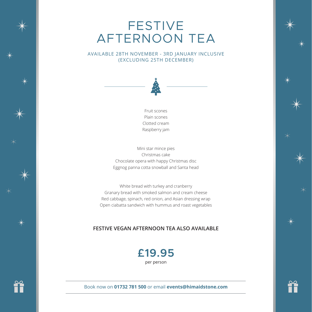### FESTIVE AFTERNOON TEA

AVAILABLE 28TH NOVEMBER - 3RD JANUARY INCLUSIVE (EXCLUDING 25TH DECEMBER)



Fruit scones Plain scones Clotted cream Raspberry jam

Mini star mince pies Christmas cake Chocolate opera with happy Christmas disc Eggnog panna cotta snowball and Santa head

White bread with turkey and cranberry Granary bread with smoked salmon and cream cheese Red cabbage, spinach, red onion, and Asian dressing wrap Open ciabatta sandwich with hummus and roast vegetables

### **FESTIVE VEGAN AFTERNOON TEA ALSO AVAILABLE**

### **£19.95** per person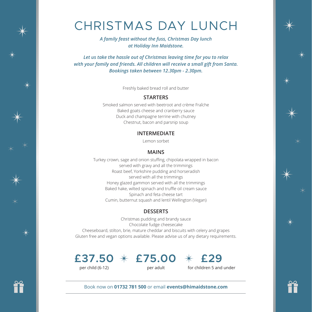# CHRISTMAS DAY LUNCH

*A family feast without the fuss, Christmas Day lunch at Holiday Inn Maidstone.*

*Let us take the hassle out of Christmas leaving time for you to relax with your family and friends. All children will receive a small gift from Santa. Bookings taken between 12.30pm - 2.30pm.*

Freshly baked bread roll and butter

#### **STARTERS**

Smoked salmon served with beetroot and crème Fraîche Baked goats cheese and cranberry sauce Duck and champagne terrine with chutney Chestnut, bacon and parsnip soup

#### **INTERMEDIATE**

Lemon sorbet

#### **MAINS**

Turkey crown, sage and onion stuffing, chipolata wrapped in bacon served with gravy and all the trimmings Roast beef, Yorkshire pudding and horseradish served with all the trimmings Honey glazed gammon served with all the trimmings Baked hake, wilted spinach and truffle oil cream sauce Spinach and feta cheese tart Cumin, butternut squash and lentil Wellington (Vegan)

#### **DESSERTS**

Christmas pudding and brandy sauce Chocolate fudge cheesecake Cheeseboard, stilton, brie, mature cheddar and biscuits with celery and grapes Gluten free and vegan options available. Please advise us of any dietary requirements.



per adult

for children 5 and under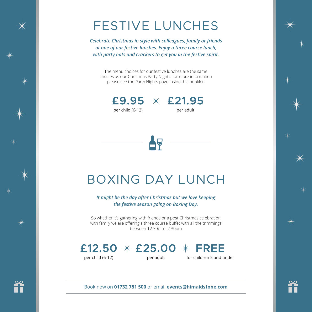# FESTIVE LUNCHES

*Celebrate Christmas in style with colleagues, family or friends at one of our festive lunches. Enjoy a three course lunch, with party hats and crackers to get you in the festive spirit.*

The menu choices for our festive lunches are the same choices as our Christmas Party Nights, for more information please see the Party Nights page inside this booklet.



**£21.95 £9.95** per adult



# BOXING DAY LUNCH

*It might be the day after Christmas but we love keeping the festive season going on Boxing Day.*

So whether it's gathering with friends or a post Christmas celebration with family we are offering a three course buffet with all the trimmings between 12.30pm - 2.30pm

# **£25.00 £12.50 FREE**

per child (6-12)

per adult

for children 5 and under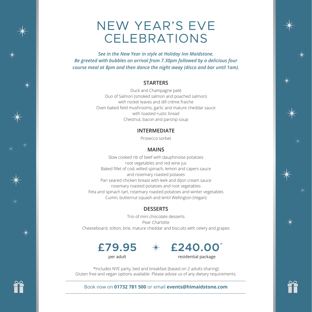### NEW YEAR'S EVE CELEBRATIONS

*See in the New Year in style at Holiday Inn Maidstone. Be greeted with bubbles on arrival from 7.30pm followed by a delicious four course meal at 8pm and then dance the night away (disco and bar until 1am).*

#### **STARTERS**

Duck and Champagne patè Duo of Salmon (smoked salmon and poached salmon) with rocket leaves and dill crème fraiche Oven baked field mushrooms, garlic and mature cheddar sauce with toasted rustic bread Chestnut, bacon and parsnip soup

#### **INTERMEDIATE**

Prosecco sorbet

#### **MAINS**

Slow cooked rib of beef with dauphinoise potatoes root vegetables and red wine jus Baked fillet of cod, wilted spinach, lemon and capers sauce and rosemary roasted potaoes Pan seared chicken breast with leek and dijon cream sauce rosemary roasted potatoes and root vegetables Feta and spinach tart, rosemary roasted potatoes and winter vegetables Cumin, butternut squash and lentil Wellington (Vegan)

### **DESSERTS**

Trio of mini chocolate desserts Pear Charlotte Cheeseboard, stilton, brie, mature cheddar and biscuits with celery and grapes





\*Includes NYE party, bed and breakfast (based on 2 adults sharing) Gluten free and vegan options available. Please advise us of any dietary requirements.